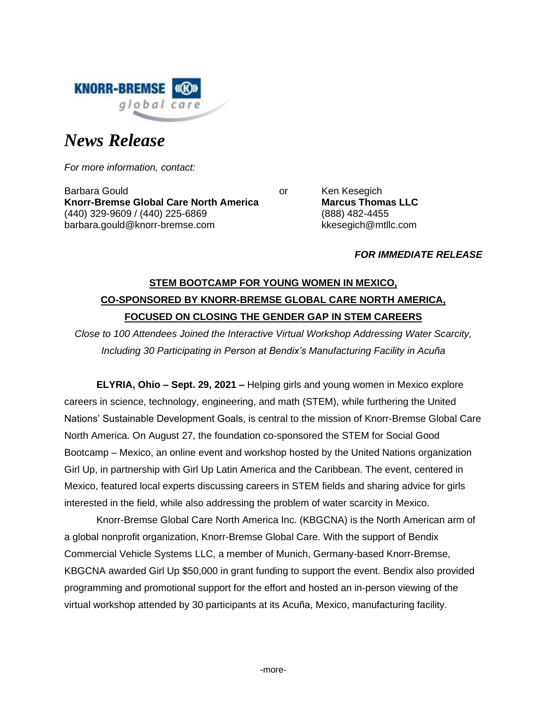

# *News Release*

*For more information, contact:*

Barbara Gould **Contract Contract Contract Contract Contract Contract Contract Contract Contract Contract Contract Contract Contract Contract Contract Contract Contract Contract Contract Contract Contract Contract Contract Knorr-Bremse Global Care North America Marcus Thomas LLC** (440) 329-9609 / (440) 225-6869 (888) 482-4455 barbara.gould@knorr-bremse.com kkesegich@mtllc.com

### *FOR IMMEDIATE RELEASE*

## **STEM BOOTCAMP FOR YOUNG WOMEN IN MEXICO, CO-SPONSORED BY KNORR-BREMSE GLOBAL CARE NORTH AMERICA, FOCUSED ON CLOSING THE GENDER GAP IN STEM CAREERS**

*Close to 100 Attendees Joined the Interactive Virtual Workshop Addressing Water Scarcity, Including 30 Participating in Person at Bendix's Manufacturing Facility in Acuña*

**ELYRIA, Ohio – Sept. 29, 2021 –** Helping girls and young women in Mexico explore careers in science, technology, engineering, and math (STEM), while furthering the United Nations' Sustainable Development Goals, is central to the mission of Knorr-Bremse Global Care North America. On August 27, the foundation co-sponsored the STEM for Social Good Bootcamp – Mexico, an online event and workshop hosted by the United Nations organization Girl Up, in partnership with Girl Up Latin America and the Caribbean. The event, centered in Mexico, featured local experts discussing careers in STEM fields and sharing advice for girls interested in the field, while also addressing the problem of water scarcity in Mexico.

Knorr-Bremse Global Care North America Inc. (KBGCNA) is the North American arm of a global nonprofit organization, Knorr-Bremse Global Care. With the support of Bendix Commercial Vehicle Systems LLC, a member of Munich, Germany-based Knorr-Bremse, KBGCNA awarded Girl Up \$50,000 in grant funding to support the event. Bendix also provided programming and promotional support for the effort and hosted an in-person viewing of the virtual workshop attended by 30 participants at its Acuña, Mexico, manufacturing facility.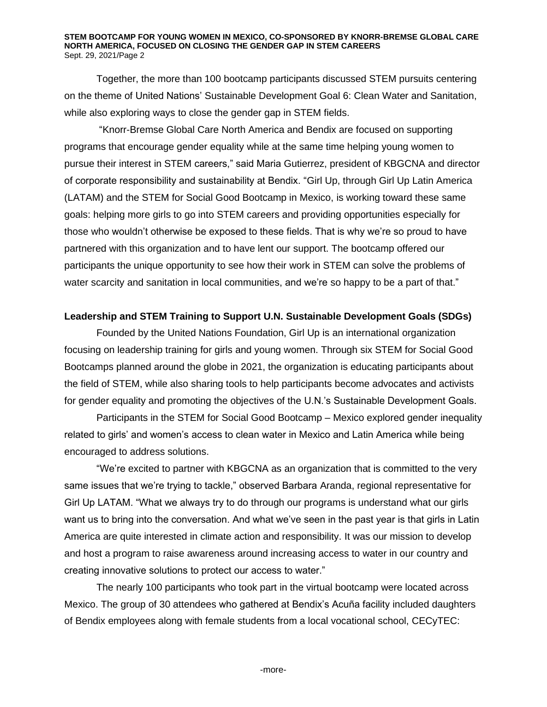#### **STEM BOOTCAMP FOR YOUNG WOMEN IN MEXICO, CO-SPONSORED BY KNORR-BREMSE GLOBAL CARE NORTH AMERICA, FOCUSED ON CLOSING THE GENDER GAP IN STEM CAREERS** Sept. 29, 2021/Page 2

Together, the more than 100 bootcamp participants discussed STEM pursuits centering on the theme of United Nations' Sustainable Development Goal 6: Clean Water and Sanitation, while also exploring ways to close the gender gap in STEM fields.

"Knorr-Bremse Global Care North America and Bendix are focused on supporting programs that encourage gender equality while at the same time helping young women to pursue their interest in STEM careers," said Maria Gutierrez, president of KBGCNA and director of corporate responsibility and sustainability at Bendix. "Girl Up, through Girl Up Latin America (LATAM) and the STEM for Social Good Bootcamp in Mexico, is working toward these same goals: helping more girls to go into STEM careers and providing opportunities especially for those who wouldn't otherwise be exposed to these fields. That is why we're so proud to have partnered with this organization and to have lent our support. The bootcamp offered our participants the unique opportunity to see how their work in STEM can solve the problems of water scarcity and sanitation in local communities, and we're so happy to be a part of that."

#### **Leadership and STEM Training to Support U.N. Sustainable Development Goals (SDGs)**

Founded by the United Nations Foundation, Girl Up is an international organization focusing on leadership training for girls and young women. Through six STEM for Social Good Bootcamps planned around the globe in 2021, the organization is educating participants about the field of STEM, while also sharing tools to help participants become advocates and activists for gender equality and promoting the objectives of the U.N.'s Sustainable Development Goals.

Participants in the STEM for Social Good Bootcamp – Mexico explored gender inequality related to girls' and women's access to clean water in Mexico and Latin America while being encouraged to address solutions.

"We're excited to partner with KBGCNA as an organization that is committed to the very same issues that we're trying to tackle," observed Barbara Aranda, regional representative for Girl Up LATAM. "What we always try to do through our programs is understand what our girls want us to bring into the conversation. And what we've seen in the past year is that girls in Latin America are quite interested in climate action and responsibility. It was our mission to develop and host a program to raise awareness around increasing access to water in our country and creating innovative solutions to protect our access to water."

The nearly 100 participants who took part in the virtual bootcamp were located across Mexico. The group of 30 attendees who gathered at Bendix's Acuña facility included daughters of Bendix employees along with female students from a local vocational school, CECyTEC: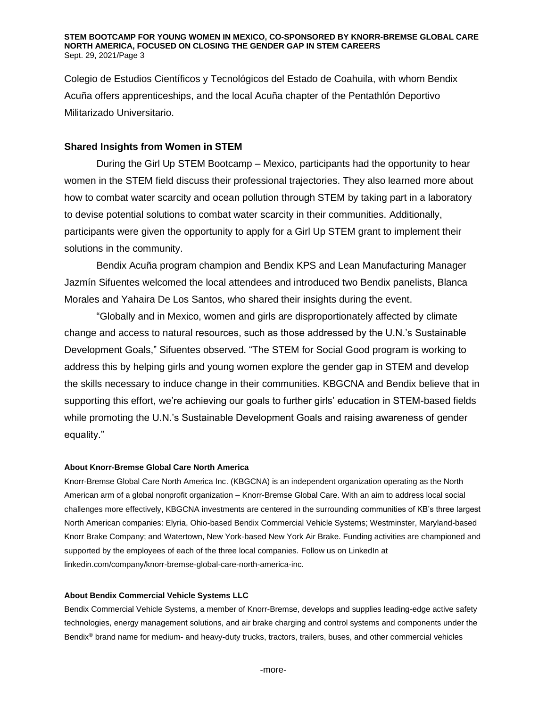Colegio de Estudios Científicos y Tecnológicos del Estado de Coahuila, with whom Bendix Acuña offers apprenticeships, and the local Acuña chapter of the Pentathlón Deportivo Militarizado Universitario.

## **Shared Insights from Women in STEM**

During the Girl Up STEM Bootcamp – Mexico, participants had the opportunity to hear women in the STEM field discuss their professional trajectories. They also learned more about how to combat water scarcity and ocean pollution through STEM by taking part in a laboratory to devise potential solutions to combat water scarcity in their communities. Additionally, participants were given the opportunity to apply for a Girl Up STEM grant to implement their solutions in the community.

Bendix Acuña program champion and Bendix KPS and Lean Manufacturing Manager Jazmín Sifuentes welcomed the local attendees and introduced two Bendix panelists, Blanca Morales and Yahaira De Los Santos, who shared their insights during the event.

"Globally and in Mexico, women and girls are disproportionately affected by climate change and access to natural resources, such as those addressed by the U.N.'s Sustainable Development Goals," Sifuentes observed. "The STEM for Social Good program is working to address this by helping girls and young women explore the gender gap in STEM and develop the skills necessary to induce change in their communities. KBGCNA and Bendix believe that in supporting this effort, we're achieving our goals to further girls' education in STEM-based fields while promoting the U.N.'s Sustainable Development Goals and raising awareness of gender equality."

#### **About Knorr-Bremse Global Care North America**

Knorr-Bremse Global Care North America Inc. (KBGCNA) is an independent organization operating as the North American arm of a global nonprofit organization – Knorr-Bremse Global Care. With an aim to address local social challenges more effectively, KBGCNA investments are centered in the surrounding communities of KB's three largest North American companies: Elyria, Ohio-based Bendix Commercial Vehicle Systems; Westminster, Maryland-based Knorr Brake Company; and Watertown, New York-based New York Air Brake. Funding activities are championed and supported by the employees of each of the three local companies. Follow us on LinkedIn at linkedin.com/company/knorr-bremse-global-care-north-america-inc.

#### **About Bendix Commercial Vehicle Systems LLC**

Bendix Commercial Vehicle Systems, a member of Knorr-Bremse, develops and supplies leading-edge active safety technologies, energy management solutions, and air brake charging and control systems and components under the Bendix<sup>®</sup> brand name for medium- and heavy-duty trucks, tractors, trailers, buses, and other commercial vehicles